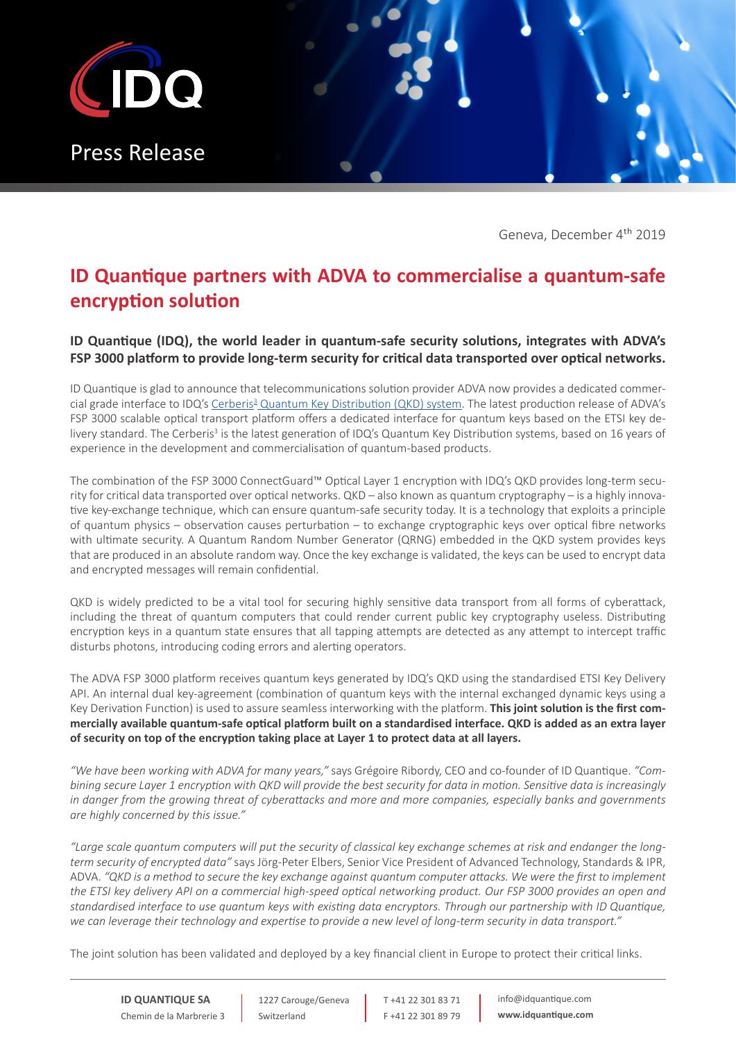

Geneva, December 4<sup>th</sup> 2019

## **ID Quantique partners with ADVA to commercialise a quantum-safe encryption solution**

**ID Quantique (IDQ), the world leader in quantum-safe security solutions, integrates with ADVA's FSP 3000 platform to provide long-term security for critical data transported over optical networks.**

ID Quantique is glad to announce that telecommunications solution provider ADVA now provides a dedicated commer-cial grade interface to IDQ's Cerberis<sup>3</sup> [Quantum Key Distribution \(QKD\) system.](https://www.idquantique.com/quantum-safe-security/products/cerberis3-qkd-system/) The latest production release of ADVA's FSP 3000 scalable optical transport platform offers a dedicated interface for quantum keys based on the ETSI key delivery standard. The Cerberis<sup>3</sup> is the latest generation of IDQ's Quantum Key Distribution systems, based on 16 years of experience in the development and commercialisation of quantum-based products.

The combination of the FSP 3000 ConnectGuard™ Optical Layer 1 encryption with IDQ's QKD provides long-term security for critical data transported over optical networks. QKD – also known as quantum cryptography – is a highly innovative key-exchange technique, which can ensure quantum-safe security today. It is a technology that exploits a principle of quantum physics – observation causes perturbation – to exchange cryptographic keys over optical fibre networks with ultimate security. A Quantum Random Number Generator (QRNG) embedded in the QKD system provides keys that are produced in an absolute random way. Once the key exchange is validated, the keys can be used to encrypt data and encrypted messages will remain confidential.

QKD is widely predicted to be a vital tool for securing highly sensitive data transport from all forms of cyberattack, including the threat of quantum computers that could render current public key cryptography useless. Distributing encryption keys in a quantum state ensures that all tapping attempts are detected as any attempt to intercept traffic disturbs photons, introducing coding errors and alerting operators.

The ADVA FSP 3000 platform receives quantum keys generated by IDQ's QKD using the standardised ETSI Key Delivery API. An internal dual key-agreement (combination of quantum keys with the internal exchanged dynamic keys using a Key Derivation Function) is used to assure seamless interworking with the platform. **This joint solution is the first commercially available quantum-safe optical platform built on a standardised interface. QKD is added as an extra layer of security on top of the encryption taking place at Layer 1 to protect data at all layers.**

*"We have been working with ADVA for many years,"* says Grégoire Ribordy, CEO and co-founder of ID Quantique. *"Combining secure Layer 1 encryption with QKD will provide the best security for data in motion. Sensitive data is increasingly in danger from the growing threat of cyberattacks and more and more companies, especially banks and governments are highly concerned by this issue."*

*"Large scale quantum computers will put the security of classical key exchange schemes at risk and endanger the longterm security of encrypted data"* says Jörg-Peter Elbers, Senior Vice President of Advanced Technology, Standards & IPR, ADVA. *"QKD is a method to secure the key exchange against quantum computer attacks. We were the first to implement the ETSI key delivery API on a commercial high-speed optical networking product. Our FSP 3000 provides an open and standardised interface to use quantum keys with existing data encryptors. Through our partnership with ID Quantique, we can leverage their technology and expertise to provide a new level of long-term security in data transport."*

The joint solution has been validated and deployed by a key financial client in Europe to protect their critical links.

**ID QUANTIQUE SA** Chemin de la Marbrerie 3

1227 Carouge/Geneva Switzerland

T +41 22 301 83 71 F +41 22 301 89 79 info@idquantique.com **www.idquantique.com**